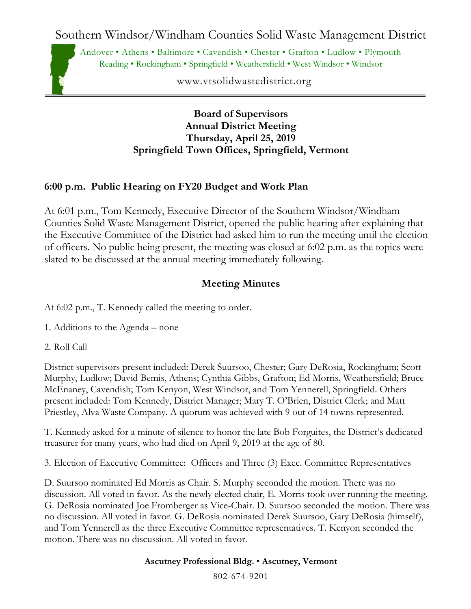Southern Windsor/Windham Counties Solid Waste Management District

Andover • Athens • Baltimore • Cavendish • Chester • Grafton • Ludlow • Plymouth Reading • Rockingham • Springfield • Weathersfield • West Windsor • Windsor

www.vtsolidwastedistrict.org

### **Board of Supervisors Annual District Meeting Thursday, April 25, 2019 Springfield Town Offices, Springfield, Vermont**

## **6:00 p.m. Public Hearing on FY20 Budget and Work Plan**

At 6:01 p.m., Tom Kennedy, Executive Director of the Southern Windsor/Windham Counties Solid Waste Management District, opened the public hearing after explaining that the Executive Committee of the District had asked him to run the meeting until the election of officers. No public being present, the meeting was closed at 6:02 p.m. as the topics were slated to be discussed at the annual meeting immediately following.

# **Meeting Minutes**

At 6:02 p.m., T. Kennedy called the meeting to order.

1. Additions to the Agenda – none

2. Roll Call

District supervisors present included: Derek Suursoo, Chester; Gary DeRosia, Rockingham; Scott Murphy, Ludlow; David Bemis, Athens; Cynthia Gibbs, Grafton; Ed Morris, Weathersfield; Bruce McEnaney, Cavendish; Tom Kenyon, West Windsor, and Tom Yennerell, Springfield. Others present included: Tom Kennedy, District Manager; Mary T. O'Brien, District Clerk; and Matt Priestley, Alva Waste Company. A quorum was achieved with 9 out of 14 towns represented.

T. Kennedy asked for a minute of silence to honor the late Bob Forguites, the District's dedicated treasurer for many years, who had died on April 9, 2019 at the age of 80.

3. Election of Executive Committee: Officers and Three (3) Exec. Committee Representatives

D. Suursoo nominated Ed Morris as Chair. S. Murphy seconded the motion. There was no discussion. All voted in favor. As the newly elected chair, E. Morris took over running the meeting. G. DeRosia nominated Joe Fromberger as Vice-Chair. D. Suursoo seconded the motion. There was no discussion. All voted in favor. G. DeRosia nominated Derek Suursoo, Gary DeRosia (himself), and Tom Yennerell as the three Executive Committee representatives. T. Kenyon seconded the motion. There was no discussion. All voted in favor.

#### **Ascutney Professional Bldg.** • **Ascutney, Vermont**

802-674-9201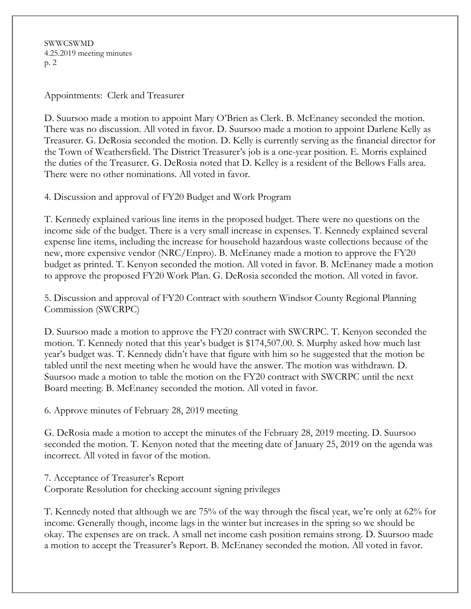SWWCSWMD 4.25.2019 meeting minutes p. 2

Appointments: Clerk and Treasurer

D. Suursoo made a motion to appoint Mary O'Brien as Clerk. B. McEnaney seconded the motion. There was no discussion. All voted in favor. D. Suursoo made a motion to appoint Darlene Kelly as Treasurer. G. DeRosia seconded the motion. D. Kelly is currently serving as the financial director for the Town of Weathersfield. The District Treasurer's job is a one-year position. E. Morris explained the duties of the Treasurer. G. DeRosia noted that D. Kelley is a resident of the Bellows Falls area. There were no other nominations. All voted in favor.

4. Discussion and approval of FY20 Budget and Work Program

T. Kennedy explained various line items in the proposed budget. There were no questions on the income side of the budget. There is a very small increase in expenses. T. Kennedy explained several expense line items, including the increase for household hazardous waste collections because of the new, more expensive vendor (NRC/Enpro). B. McEnaney made a motion to approve the FY20 budget as printed. T. Kenyon seconded the motion. All voted in favor. B. McEnaney made a motion to approve the proposed FY20 Work Plan. G. DeRosia seconded the motion. All voted in favor.

5. Discussion and approval of FY20 Contract with southern Windsor County Regional Planning Commission (SWCRPC)

D. Suursoo made a motion to approve the FY20 contract with SWCRPC. T. Kenyon seconded the motion. T. Kennedy noted that this year's budget is \$174,507.00. S. Murphy asked how much last year's budget was. T. Kennedy didn't have that figure with him so he suggested that the motion be tabled until the next meeting when he would have the answer. The motion was withdrawn. D. Suursoo made a motion to table the motion on the FY20 contract with SWCRPC until the next Board meeting. B. McEnaney seconded the motion. All voted in favor.

6. Approve minutes of February 28, 2019 meeting

G. DeRosia made a motion to accept the minutes of the February 28, 2019 meeting. D. Suursoo seconded the motion. T. Kenyon noted that the meeting date of January 25, 2019 on the agenda was incorrect. All voted in favor of the motion.

7. Acceptance of Treasurer's Report Corporate Resolution for checking account signing privileges

T. Kennedy noted that although we are 75% of the way through the fiscal year, we're only at 62% for income. Generally though, income lags in the winter but increases in the spring so we should be okay. The expenses are on track. A small net income cash position remains strong. D. Suursoo made a motion to accept the Treasurer's Report. B. McEnaney seconded the motion. All voted in favor.